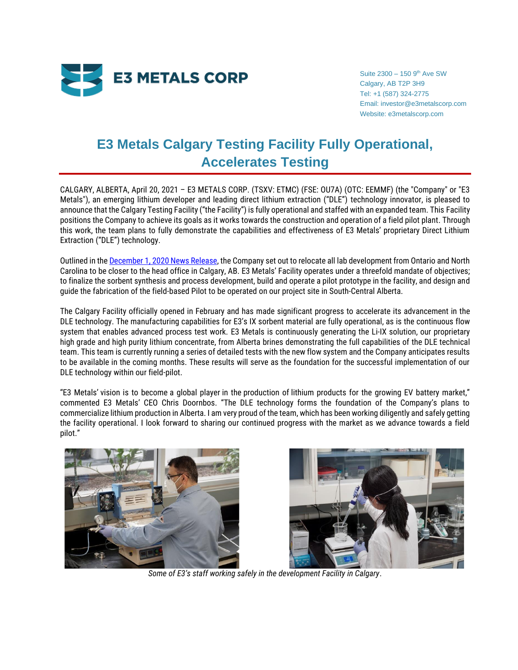

Suite 2300 - 150 9th Ave SW Calgary, AB T2P 3H9 Tel: +1 (587) 324-2775 Email: investor@e3metalscorp.com Website: e3metalscorp.com

## **E3 Metals Calgary Testing Facility Fully Operational, Accelerates Testing**

CALGARY, ALBERTA, April 20, 2021 – E3 METALS CORP. (TSXV: ETMC) (FSE: OU7A) (OTC: EEMMF) (the "Company" or "E3 Metals"), an emerging lithium developer and leading direct lithium extraction ("DLE") technology innovator, is pleased to announce that the Calgary Testing Facility ("the Facility") is fully operational and staffed with an expanded team. This Facility positions the Company to achieve its goals as it works towards the construction and operation of a field pilot plant. Through this work, the team plans to fully demonstrate the capabilities and effectiveness of E3 Metals' proprietary Direct Lithium Extraction ("DLE") technology.

Outlined in th[e December 1, 2020 News Release,](https://www.e3metalscorp.com/s/E3-Metals-Dec-2020-Flow-Testing-FINAL.pdf) the Company set out to relocate all lab development from Ontario and North Carolina to be closer to the head office in Calgary, AB. E3 Metals' Facility operates under a threefold mandate of objectives; to finalize the sorbent synthesis and process development, build and operate a pilot prototype in the facility, and design and guide the fabrication of the field-based Pilot to be operated on our project site in South-Central Alberta.

The Calgary Facility officially opened in February and has made significant progress to accelerate its advancement in the DLE technology. The manufacturing capabilities for E3's IX sorbent material are fully operational, as is the continuous flow system that enables advanced process test work. E3 Metals is continuously generating the Li-IX solution, our proprietary high grade and high purity lithium concentrate, from Alberta brines demonstrating the full capabilities of the DLE technical team. This team is currently running a series of detailed tests with the new flow system and the Company anticipates results to be available in the coming months. These results will serve as the foundation for the successful implementation of our DLE technology within our field-pilot.

"E3 Metals' vision is to become a global player in the production of lithium products for the growing EV battery market," commented E3 Metals' CEO Chris Doornbos. "The DLE technology forms the foundation of the Company's plans to commercialize lithium production in Alberta. I am very proud of the team, which has been working diligently and safely getting the facility operational. I look forward to sharing our continued progress with the market as we advance towards a field pilot."





*Some of E3's staff working safely in the development Facility in Calgary*.